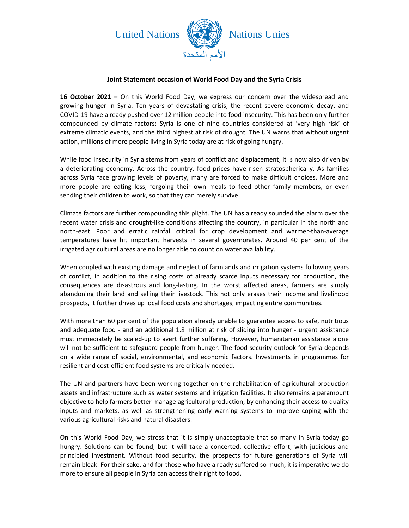

## **Joint Statement occasion of World Food Day and the Syria Crisis**

**16 October 2021** – On this World Food Day, we express our concern over the widespread and growing hunger in Syria. Ten years of devastating crisis, the recent severe economic decay, and COVID-19 have already pushed over 12 million people into food insecurity. This has been only further compounded by climate factors: Syria is one of nine countries considered at 'very high risk' of extreme climatic events, and the third highest at risk of drought. The UN warns that without urgent action, millions of more people living in Syria today are at risk of going hungry.

While food insecurity in Syria stems from years of conflict and displacement, it is now also driven by a deteriorating economy. Across the country, food prices have risen stratospherically. As families across Syria face growing levels of poverty, many are forced to make difficult choices. More and more people are eating less, forgoing their own meals to feed other family members, or even sending their children to work, so that they can merely survive.

Climate factors are further compounding this plight. The UN has already sounded the alarm over the recent water crisis and drought-like conditions affecting the country, in particular in the north and north-east. Poor and erratic rainfall critical for crop development and warmer-than-average temperatures have hit important harvests in several governorates. Around 40 per cent of the irrigated agricultural areas are no longer able to count on water availability.

When coupled with existing damage and neglect of farmlands and irrigation systems following years of conflict, in addition to the rising costs of already scarce inputs necessary for production, the consequences are disastrous and long-lasting. In the worst affected areas, farmers are simply abandoning their land and selling their livestock. This not only erases their income and livelihood prospects, it further drives up local food costs and shortages, impacting entire communities.

With more than 60 per cent of the population already unable to guarantee access to safe, nutritious and adequate food - and an additional 1.8 million at risk of sliding into hunger - urgent assistance must immediately be scaled-up to avert further suffering. However, humanitarian assistance alone will not be sufficient to safeguard people from hunger. The food security outlook for Syria depends on a wide range of social, environmental, and economic factors. Investments in programmes for resilient and cost-efficient food systems are critically needed.

The UN and partners have been working together on the rehabilitation of agricultural production assets and infrastructure such as water systems and irrigation facilities. It also remains a paramount objective to help farmers better manage agricultural production, by enhancing their access to quality inputs and markets, as well as strengthening early warning systems to improve coping with the various agricultural risks and natural disasters.

On this World Food Day, we stress that it is simply unacceptable that so many in Syria today go hungry. Solutions can be found, but it will take a concerted, collective effort, with judicious and principled investment. Without food security, the prospects for future generations of Syria will remain bleak. For their sake, and for those who have already suffered so much, it is imperative we do more to ensure all people in Syria can access their right to food.